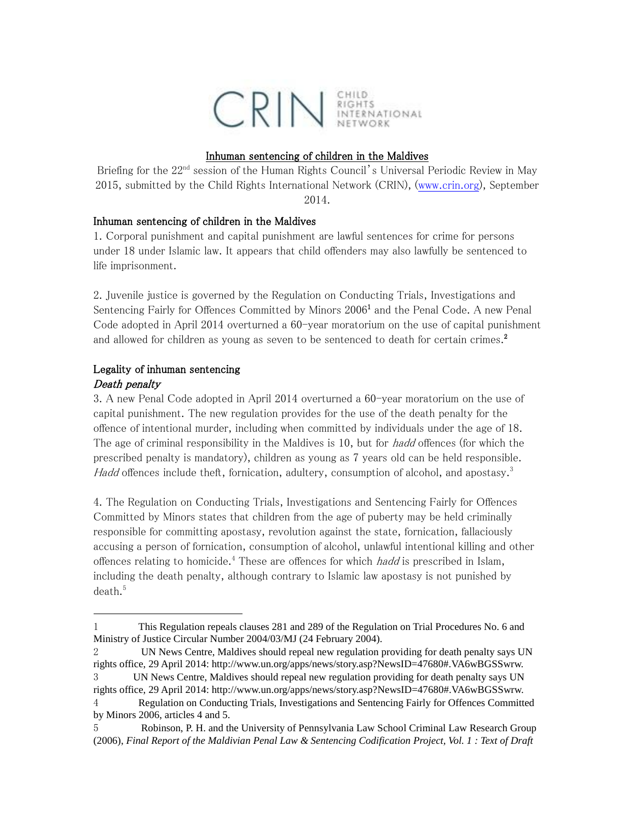

# Inhuman sentencing of children in the Maldives

Briefing for the 22<sup>nd</sup> session of the Human Rights Council's Universal Periodic Review in May 2015, submitted by the Child Rights International Network (CRIN), [\(www.crin.org\)](http://www.crin.org/), September 2014.

# Inhuman sentencing of children in the Maldives

1. Corporal punishment and capital punishment are lawful sentences for crime for persons under 18 under Islamic law. It appears that child offenders may also lawfully be sentenced to life imprisonment.

2. Juvenile justice is governed by the Regulation on Conducting Trials, Investigations and Sentencing Fairly for Offences Committed by Minors 2006<sup>1</sup> and the Penal Code. A new Penal Code adopted in April 2014 overturned a 60-year moratorium on the use of capital punishment and allowed for children as young as seven to be sentenced to death for certain crimes.<sup>2</sup>

# Legality of inhuman sentencing

# Death penalty

l

3. A new Penal Code adopted in April 2014 overturned a 60-year moratorium on the use of capital punishment. The new regulation provides for the use of the death penalty for the offence of intentional murder, including when committed by individuals under the age of 18. The age of criminal responsibility in the Maldives is 10, but for *hadd* offences (for which the prescribed penalty is mandatory), children as young as 7 years old can be held responsible. Hadd offences include theft, fornication, adultery, consumption of alcohol, and apostasy.<sup>3</sup>

4. The Regulation on Conducting Trials, Investigations and Sentencing Fairly for Offences Committed by Minors states that children from the age of puberty may be held criminally responsible for committing apostasy, revolution against the state, fornication, fallaciously accusing a person of fornication, consumption of alcohol, unlawful intentional killing and other offences relating to homicide.<sup>4</sup> These are offences for which *hadd* is prescribed in Islam, including the death penalty, although contrary to Islamic law apostasy is not punished by  $death.<sup>5</sup>$ 

<sup>1</sup> This Regulation repeals clauses 281 and 289 of the Regulation on Trial Procedures No. 6 and Ministry of Justice Circular Number 2004/03/MJ (24 February 2004).

<sup>2</sup> UN News Centre, Maldives should repeal new regulation providing for death penalty says UN rights office, 29 April 2014: http://www.un.org/apps/news/story.asp?NewsID=47680#.VA6wBGSSwrw.

<sup>3</sup> UN News Centre, Maldives should repeal new regulation providing for death penalty says UN rights office, 29 April 2014: http://www.un.org/apps/news/story.asp?NewsID=47680#.VA6wBGSSwrw. 4 Regulation on Conducting Trials, Investigations and Sentencing Fairly for Offences Committed

by Minors 2006, articles 4 and 5.

<sup>5</sup> Robinson, P. H. and the University of Pennsylvania Law School Criminal Law Research Group (2006), *Final Report of the Maldivian Penal Law & Sentencing Codification Project, Vol. 1 : Text of Draft*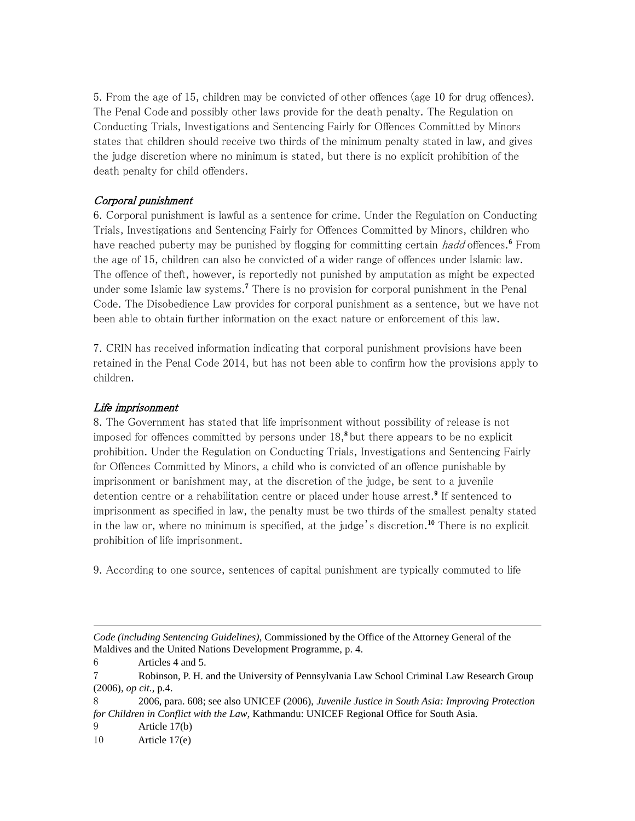5. From the age of 15, children may be convicted of other offences (age 10 for drug offences). The Penal Code and possibly other laws provide for the death penalty. The Regulation on Conducting Trials, Investigations and Sentencing Fairly for Offences Committed by Minors states that children should receive two thirds of the minimum penalty stated in law, and gives the judge discretion where no minimum is stated, but there is no explicit prohibition of the death penalty for child offenders.

# Corporal punishment

6. Corporal punishment is lawful as a sentence for crime. Under the Regulation on Conducting Trials, Investigations and Sentencing Fairly for Offences Committed by Minors, children who have reached puberty may be punished by flogging for committing certain *hadd* offences.<sup>6</sup> From the age of 15, children can also be convicted of a wider range of offences under Islamic law. The offence of theft, however, is reportedly not punished by amputation as might be expected under some Islamic law systems.<sup>7</sup> There is no provision for corporal punishment in the Penal Code. The Disobedience Law provides for corporal punishment as a sentence, but we have not been able to obtain further information on the exact nature or enforcement of this law.

7. CRIN has received information indicating that corporal punishment provisions have been retained in the Penal Code 2014, but has not been able to confirm how the provisions apply to children.

#### Life imprisonment

8. The Government has stated that life imprisonment without possibility of release is not imposed for offences committed by persons under  $18,$ <sup>8</sup> but there appears to be no explicit prohibition. Under the Regulation on Conducting Trials, Investigations and Sentencing Fairly for Offences Committed by Minors, a child who is convicted of an offence punishable by imprisonment or banishment may, at the discretion of the judge, be sent to a juvenile detention centre or a rehabilitation centre or placed under house arrest.<sup>9</sup> If sentenced to imprisonment as specified in law, the penalty must be two thirds of the smallest penalty stated in the law or, where no minimum is specified, at the judge's discretion.<sup>10</sup> There is no explicit prohibition of life imprisonment.

9. According to one source, sentences of capital punishment are typically commuted to life

*Code (including Sentencing Guidelines)*, Commissioned by the Office of the Attorney General of the Maldives and the United Nations Development Programme, p. 4.

6 Articles 4 and 5.

 $\overline{a}$ 

7 Robinson, P. H. and the University of Pennsylvania Law School Criminal Law Research Group (2006), *op cit.*, p.4.

8 2006, para. 608; see also UNICEF (2006), *Juvenile Justice in South Asia: Improving Protection for Children in Conflict with the Law*, Kathmandu: UNICEF Regional Office for South Asia.

9 Article 17(b)

10 Article 17(e)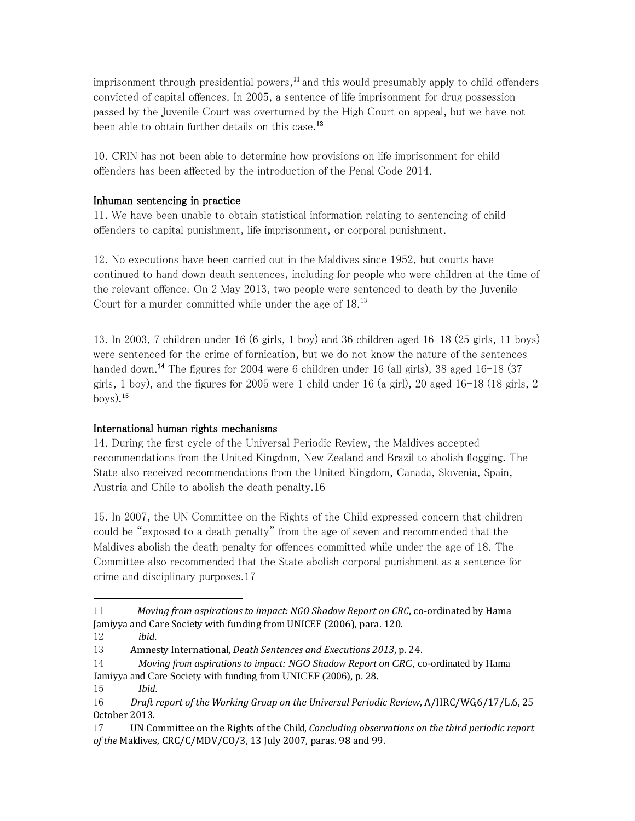imprisonment through presidential powers, $11$  and this would presumably apply to child offenders convicted of capital offences. In 2005, a sentence of life imprisonment for drug possession passed by the Juvenile Court was overturned by the High Court on appeal, but we have not been able to obtain further details on this case.<sup>12</sup>

10. CRIN has not been able to determine how provisions on life imprisonment for child offenders has been affected by the introduction of the Penal Code 2014.

# Inhuman sentencing in practice

11. We have been unable to obtain statistical information relating to sentencing of child offenders to capital punishment, life imprisonment, or corporal punishment.

12. No executions have been carried out in the Maldives since 1952, but courts have continued to hand down death sentences, including for people who were children at the time of the relevant offence. On 2 May 2013, two people were sentenced to death by the Juvenile Court for a murder committed while under the age of 18.<sup>13</sup>

13. In 2003, 7 children under 16 (6 girls, 1 boy) and 36 children aged 16-18 (25 girls, 11 boys) were sentenced for the crime of fornication, but we do not know the nature of the sentences handed down.<sup>14</sup> The figures for 2004 were 6 children under 16 (all girls), 38 aged 16-18 (37 girls, 1 boy), and the figures for 2005 were 1 child under 16 (a girl), 20 aged 16-18 (18 girls, 2  $\frac{\text{box}}{5}$ .

# International human rights mechanisms

14. During the first cycle of the Universal Periodic Review, the Maldives accepted recommendations from the United Kingdom, New Zealand and Brazil to abolish flogging. The State also received recommendations from the United Kingdom, Canada, Slovenia, Spain, Austria and Chile to abolish the death penalty.16

15. In 2007, the UN Committee on the Rights of the Child expressed concern that children could be "exposed to a death penalty" from the age of seven and recommended that the Maldives abolish the death penalty for offences committed while under the age of 18. The Committee also recommended that the State abolish corporal punishment as a sentence for crime and disciplinary purposes.17

 $\overline{a}$ 

14 *Moving from aspirations to impact: NGO Shadow Report on CRC*, co-ordinated by Hama Jamiyya and Care Society with funding from UNICEF (2006), p. 28.

 $11$  *Moving from aspirations to impact: NGO Shadow Report on CRC*, co-ordinated by Hama Jamiyya and Care Society with funding from UNICEF (2006), para. 120.

<sup>12</sup> *ibid.*

<sup>13</sup> Amnesty International, *Death Sentences and Executions 2013*, p. 24.

<sup>15</sup> *Ibid.*

<sup>16</sup> *Draft report of the Working Group on the Universal Periodic Review*, A/HRC/WG,6/17/L.6, 25 October 2013.

<sup>17</sup> UN Committee on the Rights of the Child, *Concluding observations on the third periodic report of the* Maldives, CRC/C/MDV/CO/3, 13 July 2007, paras. 98 and 99.